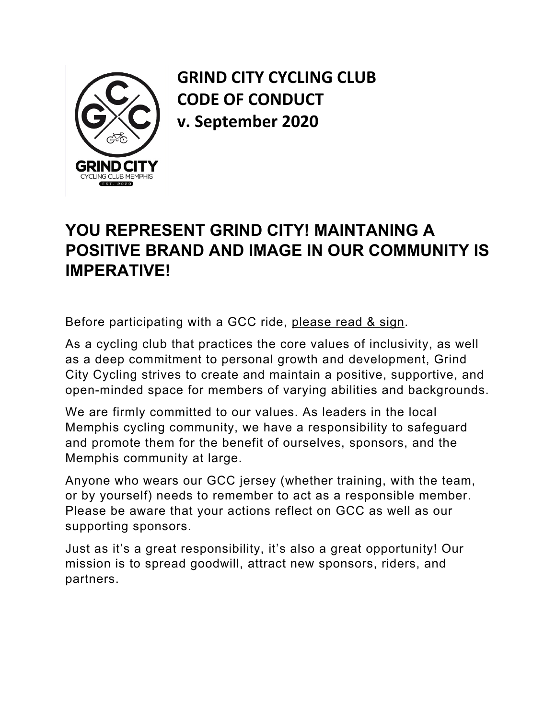

**GRIND CITY CYCLING CLUB CODE OF CONDUCT v. September 2020**

## **YOU REPRESENT GRIND CITY! MAINTANING A POSITIVE BRAND AND IMAGE IN OUR COMMUNITY IS IMPERATIVE!**

Before participating with a GCC ride, please read & sign.

As a cycling club that practices the core values of inclusivity, as well as a deep commitment to personal growth and development, Grind City Cycling strives to create and maintain a positive, supportive, and open-minded space for members of varying abilities and backgrounds.

We are firmly committed to our values. As leaders in the local Memphis cycling community, we have a responsibility to safeguard and promote them for the benefit of ourselves, sponsors, and the Memphis community at large.

Anyone who wears our GCC jersey (whether training, with the team, or by yourself) needs to remember to act as a responsible member. Please be aware that your actions reflect on GCC as well as our supporting sponsors.

Just as it's a great responsibility, it's also a great opportunity! Our mission is to spread goodwill, attract new sponsors, riders, and partners.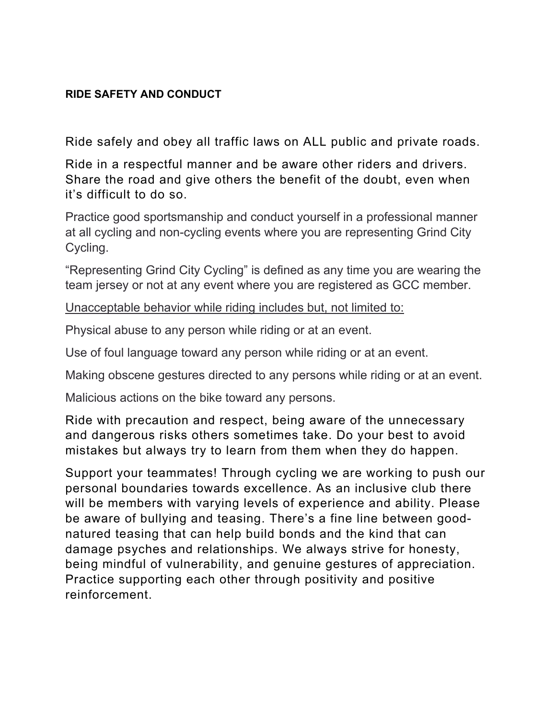## **RIDE SAFETY AND CONDUCT**

Ride safely and obey all traffic laws on ALL public and private roads.

Ride in a respectful manner and be aware other riders and drivers. Share the road and give others the benefit of the doubt, even when it's difficult to do so.

Practice good sportsmanship and conduct yourself in a professional manner at all cycling and non-cycling events where you are representing Grind City Cycling.

"Representing Grind City Cycling" is defined as any time you are wearing the team jersey or not at any event where you are registered as GCC member.

Unacceptable behavior while riding includes but, not limited to:

Physical abuse to any person while riding or at an event.

Use of foul language toward any person while riding or at an event.

Making obscene gestures directed to any persons while riding or at an event.

Malicious actions on the bike toward any persons.

Ride with precaution and respect, being aware of the unnecessary and dangerous risks others sometimes take. Do your best to avoid mistakes but always try to learn from them when they do happen.

Support your teammates! Through cycling we are working to push our personal boundaries towards excellence. As an inclusive club there will be members with varying levels of experience and ability. Please be aware of bullying and teasing. There's a fine line between good natured teasing that can help build bonds and the kind that can damage psyches and relationships. We always strive for honesty, being mindful of vulnerability, and genuine gestures of appreciation. Practice supporting each other through positivity and positive reinforcement.